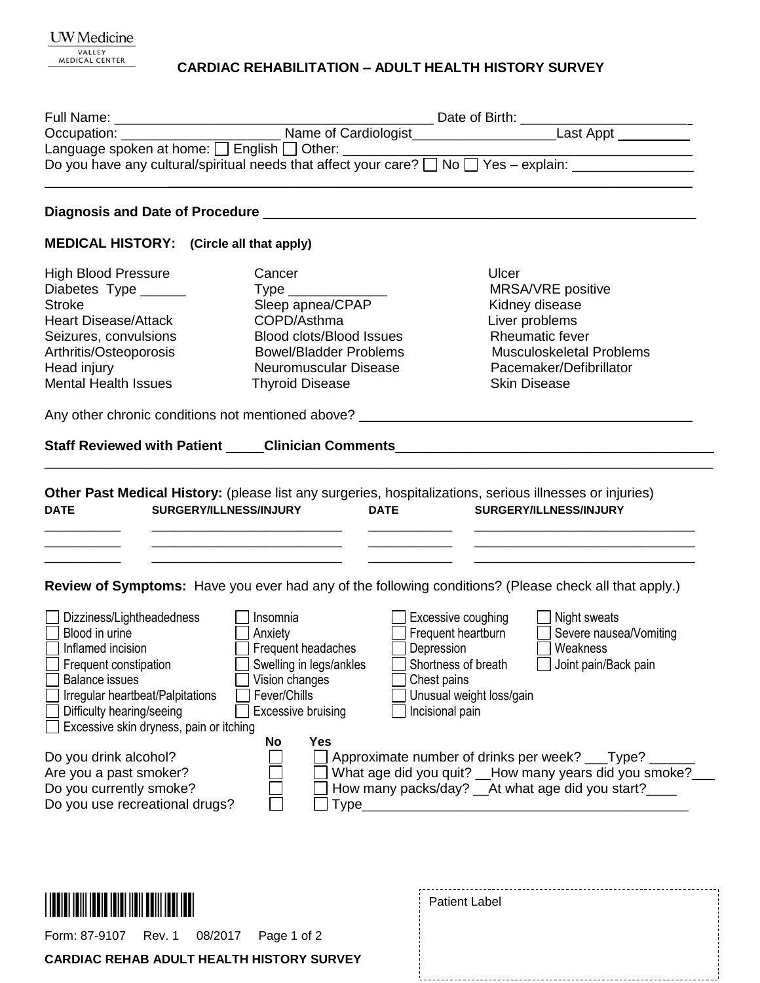### **CARDIAC REHABILITATION – ADULT HEALTH HISTORY SURVEY**

| <b>MEDICAL HISTORY:</b> (Circle all that apply)   |                                 |                                                                                                             |  |
|---------------------------------------------------|---------------------------------|-------------------------------------------------------------------------------------------------------------|--|
| <b>High Blood Pressure</b>                        | Cancer                          | Ulcer                                                                                                       |  |
| Diabetes Type _______                             | $Type \_\_$                     | MRSA/VRE positive                                                                                           |  |
| <b>Stroke</b>                                     | Sleep apnea/CPAP                | Kidney disease                                                                                              |  |
| <b>Heart Disease/Attack</b>                       | COPD/Asthma                     | Liver problems                                                                                              |  |
| Seizures, convulsions                             | <b>Blood clots/Blood Issues</b> | <b>Rheumatic fever</b>                                                                                      |  |
| Arthritis/Osteoporosis                            | <b>Bowel/Bladder Problems</b>   | <b>Musculoskeletal Problems</b>                                                                             |  |
| Head injury                                       | Neuromuscular Disease           | Pacemaker/Defibrillator                                                                                     |  |
| <b>Mental Health Issues</b>                       | <b>Thyroid Disease</b>          | <b>Skin Disease</b>                                                                                         |  |
|                                                   |                                 |                                                                                                             |  |
|                                                   |                                 | Any other chronic conditions not mentioned above? ______________________________                            |  |
|                                                   |                                 |                                                                                                             |  |
|                                                   |                                 |                                                                                                             |  |
|                                                   |                                 | Review of Symptoms: Have you ever had any of the following conditions? (Please check all that apply.)       |  |
| Dizziness/Lightheadedness                         | Insomnia                        | Excessive coughing<br>Night sweats                                                                          |  |
| Blood in urine                                    | Anxiety                         | Frequent heartburn<br>$\lfloor$<br>Severe nausea/Vomiting                                                   |  |
| Inflamed incision                                 | Frequent headaches              | Depression<br>Weakness                                                                                      |  |
| Frequent constipation                             | Swelling in legs/ankles         | Shortness of breath<br>Joint pain/Back pain                                                                 |  |
| <b>Balance issues</b>                             | Vision changes                  | Chest pains                                                                                                 |  |
| Irregular heartbeat/Palpitations                  | Fever/Chills                    | Unusual weight loss/gain                                                                                    |  |
| Difficulty hearing/seeing                         | <b>Excessive bruising</b>       | Incisional pain                                                                                             |  |
| Excessive skin dryness, pain or itching           |                                 |                                                                                                             |  |
|                                                   | <b>Yes</b><br>No                |                                                                                                             |  |
| Do you drink alcohol?                             |                                 | Approximate number of drinks per week? ___Type? _<br>What age did you quit? __How many years did you smoke? |  |
| Are you a past smoker?<br>Do you currently smoke? |                                 | How many packs/day? __ At what age did you start?____                                                       |  |
| Do you use recreational drugs?                    | $Type$ <sub>___</sub>           |                                                                                                             |  |
|                                                   |                                 | <u> 2000 - Jan James James Barnett, amerikan bahasa (j. 1878)</u>                                           |  |
|                                                   |                                 |                                                                                                             |  |
|                                                   |                                 |                                                                                                             |  |
|                                                   |                                 |                                                                                                             |  |
|                                                   |                                 | <b>Patient Label</b>                                                                                        |  |
|                                                   |                                 |                                                                                                             |  |
| Form: 87-9107<br>Rev. 1                           | 08/2017<br>Page 1 of 2          |                                                                                                             |  |

.<br>L.

J

**CARDIAC REHAB ADULT HEALTH HISTORY SURVEY**